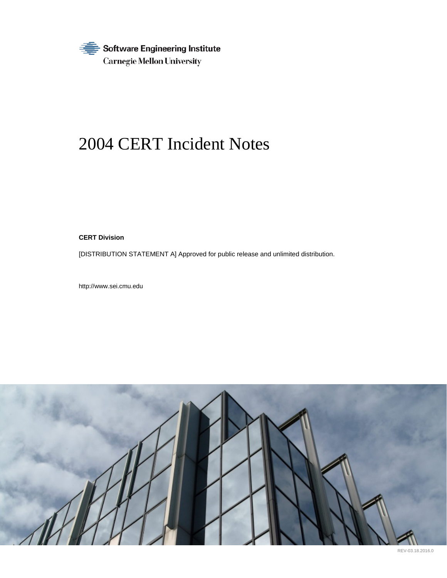

# 2004 CERT Incident Notes

**CERT Division**

[DISTRIBUTION STATEMENT A] Approved for public release and unlimited distribution.

http://www.sei.cmu.edu



REV-03.18.2016.0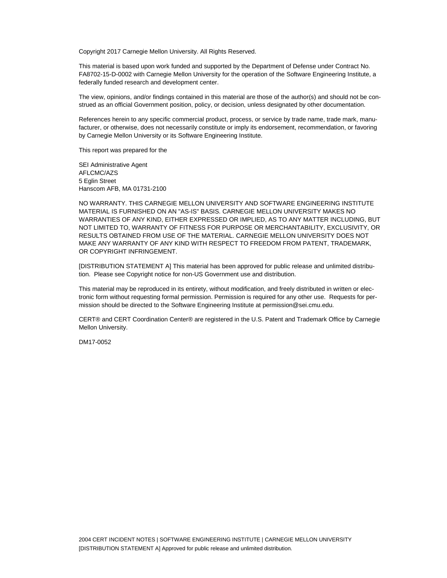Copyright 2017 Carnegie Mellon University. All Rights Reserved.

This material is based upon work funded and supported by the Department of Defense under Contract No. FA8702-15-D-0002 with Carnegie Mellon University for the operation of the Software Engineering Institute, a federally funded research and development center.

The view, opinions, and/or findings contained in this material are those of the author(s) and should not be construed as an official Government position, policy, or decision, unless designated by other documentation.

References herein to any specific commercial product, process, or service by trade name, trade mark, manufacturer, or otherwise, does not necessarily constitute or imply its endorsement, recommendation, or favoring by Carnegie Mellon University or its Software Engineering Institute.

This report was prepared for the

SEI Administrative Agent AFLCMC/AZS 5 Eglin Street Hanscom AFB, MA 01731-2100

NO WARRANTY. THIS CARNEGIE MELLON UNIVERSITY AND SOFTWARE ENGINEERING INSTITUTE MATERIAL IS FURNISHED ON AN "AS-IS" BASIS. CARNEGIE MELLON UNIVERSITY MAKES NO WARRANTIES OF ANY KIND, EITHER EXPRESSED OR IMPLIED, AS TO ANY MATTER INCLUDING, BUT NOT LIMITED TO, WARRANTY OF FITNESS FOR PURPOSE OR MERCHANTABILITY, EXCLUSIVITY, OR RESULTS OBTAINED FROM USE OF THE MATERIAL. CARNEGIE MELLON UNIVERSITY DOES NOT MAKE ANY WARRANTY OF ANY KIND WITH RESPECT TO FREEDOM FROM PATENT, TRADEMARK, OR COPYRIGHT INFRINGEMENT.

[DISTRIBUTION STATEMENT A] This material has been approved for public release and unlimited distribution. Please see Copyright notice for non-US Government use and distribution.

This material may be reproduced in its entirety, without modification, and freely distributed in written or electronic form without requesting formal permission. Permission is required for any other use. Requests for permission should be directed to the Software Engineering Institute at [permission@sei.cmu.edu.](mailto:permission@sei.cmu.edu)

CERT® and CERT Coordination Center® are registered in the U.S. Patent and Trademark Office by Carnegie Mellon University.

DM17-0052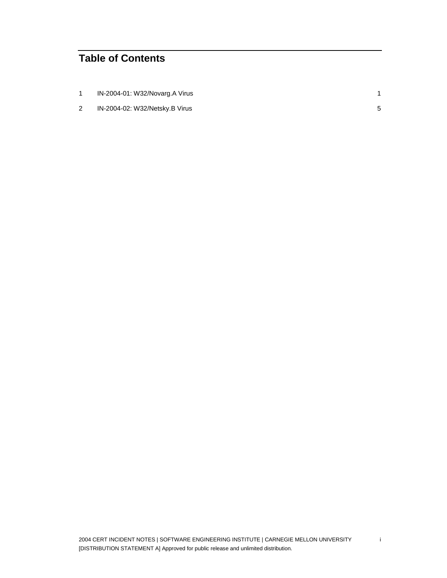## **Table of Contents**

| IN-2004-01: W32/Novarg.A Virus |  |
|--------------------------------|--|
| IN-2004-02: W32/Netsky.B Virus |  |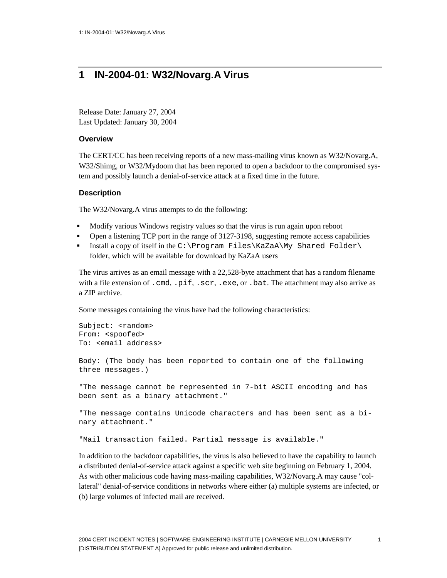## <span id="page-3-0"></span>**1 IN-2004-01: W32/Novarg.A Virus**

Release Date: January 27, 2004 Last Updated: January 30, 2004

#### **Overview**

The CERT/CC has been receiving reports of a new mass-mailing virus known as W32/Novarg.A, W32/Shimg, or W32/Mydoom that has been reported to open a backdoor to the compromised system and possibly launch a denial-of-service attack at a fixed time in the future.

#### **Description**

The W32/Novarg.A virus attempts to do the following:

- Modify various Windows registry values so that the virus is run again upon reboot
- Open a listening TCP port in the range of 3127-3198, suggesting remote access capabilities
- Install a copy of itself in the C:\Program Files\KaZaA\My Shared Folder\ folder, which will be available for download by KaZaA users

The virus arrives as an email message with a 22,528-byte attachment that has a random filename with a file extension of .cmd, .pif, .scr, .exe, or .bat. The attachment may also arrive as a ZIP archive.

Some messages containing the virus have had the following characteristics:

```
Subject: <random>
From: <spoofed>
To: <email address>
Body: (The body has been reported to contain one of the following 
three messages.)
"The message cannot be represented in 7-bit ASCII encoding and has 
been sent as a binary attachment."
"The message contains Unicode characters and has been sent as a bi-
nary attachment."
"Mail transaction failed. Partial message is available."
```
In addition to the backdoor capabilities, the virus is also believed to have the capability to launch a distributed denial-of-service attack against a specific web site beginning on February 1, 2004. As with other malicious code having mass-mailing capabilities, W32/Novarg.A may cause "collateral" denial-of-service conditions in networks where either (a) multiple systems are infected, or (b) large volumes of infected mail are received.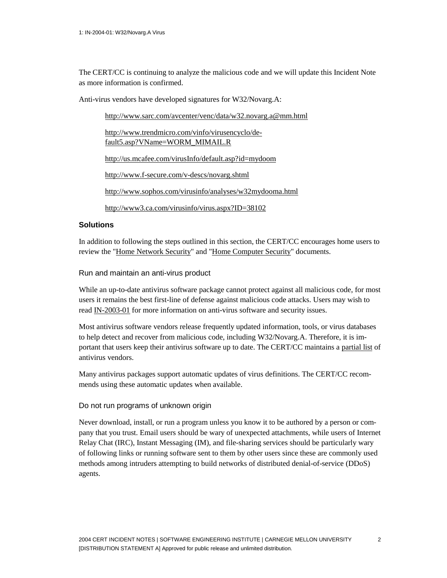The CERT/CC is continuing to analyze the malicious code and we will update this Incident Note as more information is confirmed.

Anti-virus vendors have developed signatures for W32/Novarg.A:

<http://www.sarc.com/avcenter/venc/data/w32.novarg.a@mm.html>

[http://www.trendmicro.com/vinfo/virusencyclo/de](http://www.trendmicro.com/vinfo/virusencyclo/default5.asp?VName=WORM_MIMAIL.R)[fault5.asp?VName=WORM\\_MIMAIL.R](http://www.trendmicro.com/vinfo/virusencyclo/default5.asp?VName=WORM_MIMAIL.R)

<http://us.mcafee.com/virusInfo/default.asp?id=mydoom>

<http://www.f-secure.com/v-descs/novarg.shtml>

<http://www.sophos.com/virusinfo/analyses/w32mydooma.html>

<http://www3.ca.com/virusinfo/virus.aspx?ID=38102>

#### **Solutions**

In addition to following the steps outlined in this section, the CERT/CC encourages home users to review the ["Home Network Security"](http://www.cert.org/tech_tips/home_networks.html) and ["Home Computer Security"](http://www.cert.org/homeusers/HomeComputerSecurity/) documents.

Run and maintain an anti-virus product

While an up-to-date antivirus software package cannot protect against all malicious code, for most users it remains the best first-line of defense against malicious code attacks. Users may wish to rea[d IN-2003-01](http://www.cert.org/incident_notes/IN-2003-01.html) for more information on anti-virus software and security issues.

Most antivirus software vendors release frequently updated information, tools, or virus databases to help detect and recover from malicious code, including W32/Novarg.A. Therefore, it is important that users keep their antivirus software up to date. The CERT/CC maintains a [partial list](http://www.cert.org/other_sources/viruses.html) of antivirus vendors.

Many antivirus packages support automatic updates of virus definitions. The CERT/CC recommends using these automatic updates when available.

#### Do not run programs of unknown origin

Never download, install, or run a program unless you know it to be authored by a person or company that you trust. Email users should be wary of unexpected attachments, while users of Internet Relay Chat (IRC), Instant Messaging (IM), and file-sharing services should be particularly wary of following links or running software sent to them by other users since these are commonly used methods among intruders attempting to build networks of distributed denial-of-service (DDoS) agents.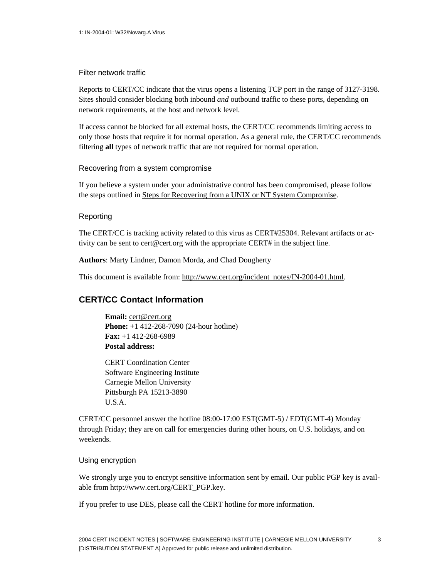#### Filter network traffic

Reports to CERT/CC indicate that the virus opens a listening TCP port in the range of 3127-3198. Sites should consider blocking both inbound *and* outbound traffic to these ports, depending on network requirements, at the host and network level.

If access cannot be blocked for all external hosts, the CERT/CC recommends limiting access to only those hosts that require it for normal operation. As a general rule, the CERT/CC recommends filtering **all** types of network traffic that are not required for normal operation.

#### Recovering from a system compromise

If you believe a system under your administrative control has been compromised, please follow the steps outlined in [Steps for Recovering from a UNIX or NT System Compromise.](http://www.cert.org/tech_tips/win-UNIX-system_compromise.html)

#### Reporting

The CERT/CC is tracking activity related to this virus as CERT#25304. Relevant artifacts or activity can be sent to [cert@cert.org wi](mailto:cert@cert.org)th the appropriate CERT# in the subject line.

**Authors**: Marty Lindner, Damon Morda, and Chad Dougherty

This document is available from: [http://www.cert.org/incident\\_notes/IN-2004-01.html.](http://www.cert.org/incident_notes/IN-2004-01.html)

#### **CERT/CC Contact Information**

**Email:** [cert@cert.org](mailto:cert@cert.org) **Phone:** +1 412-268-7090 (24-hour hotline) **Fax:** +1 412-268-6989 **Postal address:**

CERT Coordination Center Software Engineering Institute Carnegie Mellon University Pittsburgh PA 15213-3890 U.S.A.

CERT/CC personnel answer the hotline 08:00-17:00 EST(GMT-5) / EDT(GMT-4) Monday through Friday; they are on call for emergencies during other hours, on U.S. holidays, and on weekends.

#### Using encryption

We strongly urge you to encrypt sensitive information sent by email. Our public PGP key is available from [http://www.cert.org/CERT\\_PGP.key.](http://www.cert.org/CERT_PGP.key)

If you prefer to use DES, please call the CERT hotline for more information.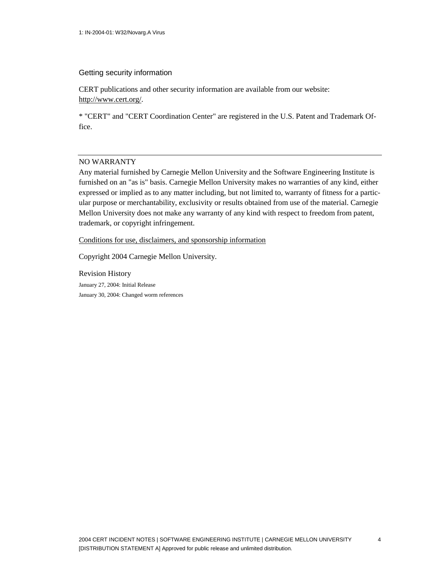#### Getting security information

CERT publications and other security information are available from our website: [http://www.cert.org/.](http://www.cert.org/)

\* "CERT" and "CERT Coordination Center" are registered in the U.S. Patent and Trademark Office.

#### NO WARRANTY

Any material furnished by Carnegie Mellon University and the Software Engineering Institute is furnished on an "as is" basis. Carnegie Mellon University makes no warranties of any kind, either expressed or implied as to any matter including, but not limited to, warranty of fitness for a particular purpose or merchantability, exclusivity or results obtained from use of the material. Carnegie Mellon University does not make any warranty of any kind with respect to freedom from patent, trademark, or copyright infringement.

[Conditions for use, disclaimers, and sponsorship information](http://www.cert.org/legal_stuff.html)

Copyright 2004 Carnegie Mellon University.

Revision History January 27, 2004: Initial Release January 30, 2004: Changed worm references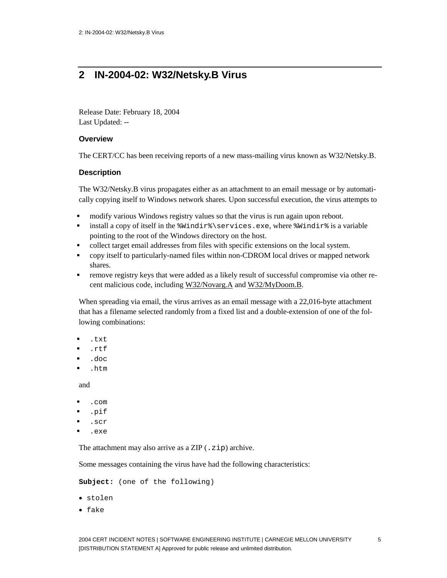## <span id="page-7-0"></span>**2 IN-2004-02: W32/Netsky.B Virus**

Release Date: February 18, 2004 Last Updated: --

#### **Overview**

The CERT/CC has been receiving reports of a new mass-mailing virus known as W32/Netsky.B.

#### **Description**

The W32/Netsky.B virus propagates either as an attachment to an email message or by automatically copying itself to Windows network shares. Upon successful execution, the virus attempts to

- modify various Windows registry values so that the virus is run again upon reboot.
- install a copy of itself in the %Windir%\services.exe, where %Windir% is a variable pointing to the root of the Windows directory on the host.
- collect target email addresses from files with specific extensions on the local system.
- copy itself to particularly-named files within non-CDROM local drives or mapped network shares.
- remove registry keys that were added as a likely result of successful compromise via other recent malicious code, including [W32/Novarg.A](http://www.cert.org/incident_notes/IN-2004-01.html) and [W32/MyDoom.B.](http://www.us-cert.gov/cas/techalerts/TA04-028A.html)

When spreading via email, the virus arrives as an email message with a 22,016-byte attachment that has a filename selected randomly from a fixed list and a double-extension of one of the following combinations:

- .txt
- .rtf
- .doc
- .htm

and

- .com
- .pif
- .scr
- .exe

The attachment may also arrive as a ZIP (.zip) archive.

Some messages containing the virus have had the following characteristics:

```
Subject: (one of the following)
```
- stolen
- fake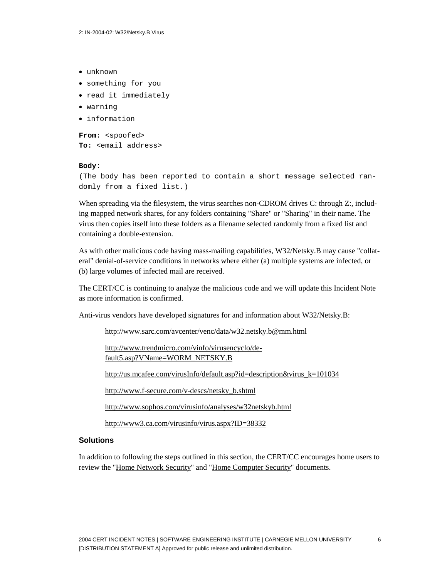- unknown
- something for you
- read it immediately
- warning
- information

```
From: <spoofed>
To: <email address>
```
#### **Body:**

```
(The body has been reported to contain a short message selected ran-
domly from a fixed list.)
```
When spreading via the filesystem, the virus searches non-CDROM drives C: through Z:, including mapped network shares, for any folders containing "Share" or "Sharing" in their name. The virus then copies itself into these folders as a filename selected randomly from a fixed list and containing a double-extension.

As with other malicious code having mass-mailing capabilities, W32/Netsky.B may cause "collateral" denial-of-service conditions in networks where either (a) multiple systems are infected, or (b) large volumes of infected mail are received.

The CERT/CC is continuing to analyze the malicious code and we will update this Incident Note as more information is confirmed.

Anti-virus vendors have developed signatures for and information about W32/Netsky.B:

<http://www.sarc.com/avcenter/venc/data/w32.netsky.b@mm.html>

[http://www.trendmicro.com/vinfo/virusencyclo/de](http://www.trendmicro.com/vinfo/virusencyclo/default5.asp?VName=WORM_NETSKY.B)[fault5.asp?VName=WORM\\_NETSKY.B](http://www.trendmicro.com/vinfo/virusencyclo/default5.asp?VName=WORM_NETSKY.B)

[http://us.mcafee.com/virusInfo/default.asp?id=description&virus\\_k=101034](http://us.mcafee.com/virusInfo/default.asp?id=description&virus_k=101034)

[http://www.f-secure.com/v-descs/netsky\\_b.shtml](http://www.f-secure.com/v-descs/netsky_b.shtml)

<http://www.sophos.com/virusinfo/analyses/w32netskyb.html>

<http://www3.ca.com/virusinfo/virus.aspx?ID=38332>

#### **Solutions**

In addition to following the steps outlined in this section, the CERT/CC encourages home users to review the ["Home Network Security"](http://www.cert.org/tech_tips/home_networks.html) and ["Home Computer Security"](http://www.cert.org/homeusers/HomeComputerSecurity/) documents.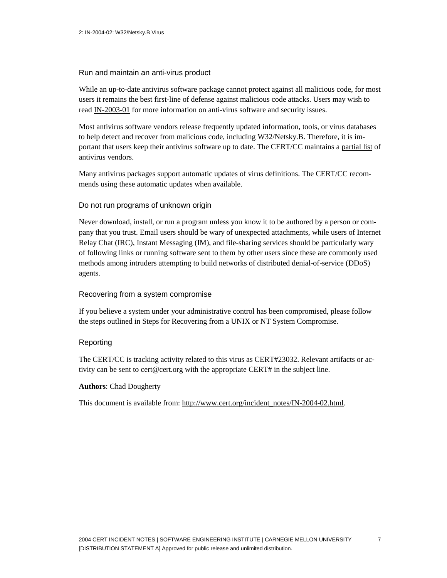#### Run and maintain an anti-virus product

While an up-to-date antivirus software package cannot protect against all malicious code, for most users it remains the best first-line of defense against malicious code attacks. Users may wish to rea[d IN-2003-01](http://www.cert.org/incident_notes/IN-2003-01.html) for more information on anti-virus software and security issues.

Most antivirus software vendors release frequently updated information, tools, or virus databases to help detect and recover from malicious code, including W32/Netsky.B. Therefore, it is important that users keep their antivirus software up to date. The CERT/CC maintains a [partial list](http://www.cert.org/other_sources/viruses.html) of antivirus vendors.

Many antivirus packages support automatic updates of virus definitions. The CERT/CC recommends using these automatic updates when available.

#### Do not run programs of unknown origin

Never download, install, or run a program unless you know it to be authored by a person or company that you trust. Email users should be wary of unexpected attachments, while users of Internet Relay Chat (IRC), Instant Messaging (IM), and file-sharing services should be particularly wary of following links or running software sent to them by other users since these are commonly used methods among intruders attempting to build networks of distributed denial-of-service (DDoS) agents.

#### Recovering from a system compromise

If you believe a system under your administrative control has been compromised, please follow the steps outlined in [Steps for Recovering from a UNIX or NT System Compromise.](http://www.cert.org/tech_tips/win-UNIX-system_compromise.html)

#### Reporting

The CERT/CC is tracking activity related to this virus as CERT#23032. Relevant artifacts or activity can be sent to [cert@cert.org wi](mailto:cert@cert.org)th the appropriate CERT# in the subject line.

#### **Authors**: Chad Dougherty

This document is available from: [http://www.cert.org/incident\\_notes/IN-2004-02.html.](http://www.cert.org/incident_notes/IN-2004-02.html)